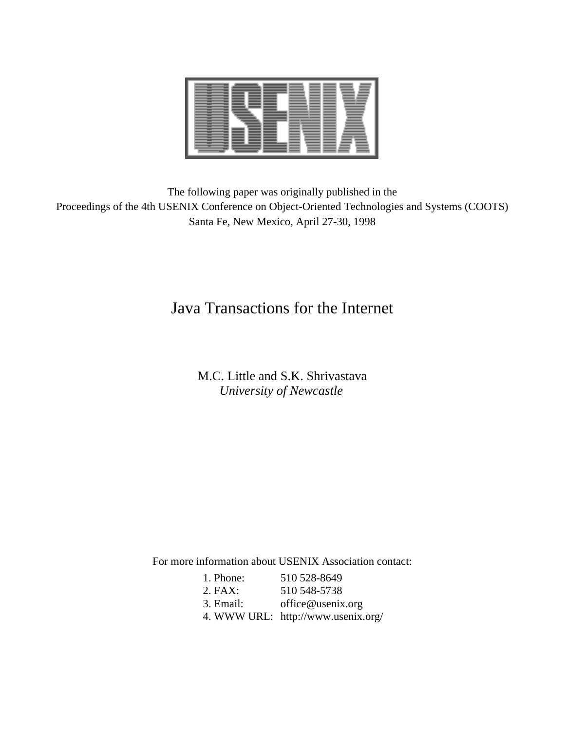

The following paper was originally published in the Proceedings of the 4th USENIX Conference on Object-Oriented Technologies and Systems (COOTS) Santa Fe, New Mexico, April 27-30, 1998

# Java Transactions for the Internet

M.C. Little and S.K. Shrivastava *University of Newcastle*

For more information about USENIX Association contact:

| 1. Phone: | 510 528-8649                       |
|-----------|------------------------------------|
| $2.$ FAX: | 510 548-5738                       |
| 3. Email: | office@usenix.org                  |
|           | 4. WWW URL: http://www.usenix.org/ |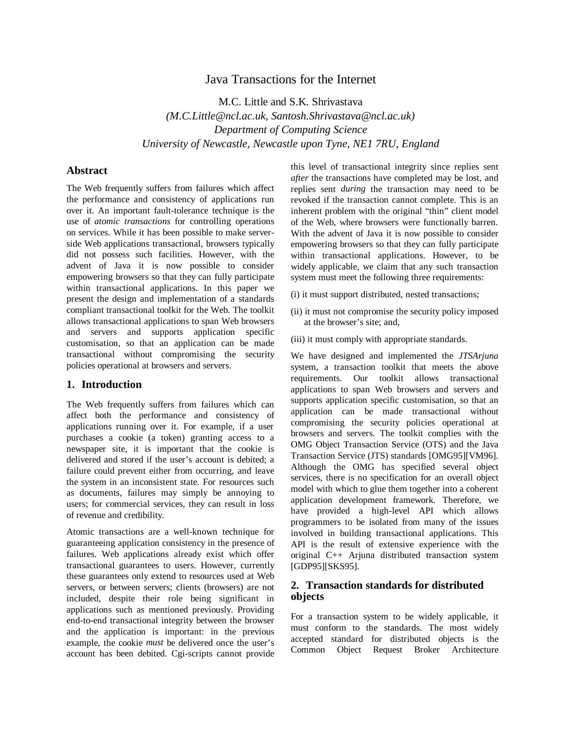## Java Transactions for the Internet

M.C. Little and S.K. Shrivastava *(M.C.Little@ncl.ac.uk, Santosh.Shrivastava@ncl.ac.uk) Department of Computing Science University of Newcastle, Newcastle upon Tyne, NE1 7RU, England*

#### **Abstract**

The Web frequently suffers from failures which affect the performance and consistency of applications run over it. An important fault-tolerance technique is the use of *atomic transactions* for controlling operations on services. While it has been possible to make serverside Web applications transactional, browsers typically did not possess such facilities. However, with the advent of Java it is now possible to consider empowering browsers so that they can fully participate within transactional applications. In this paper we present the design and implementation of a standards compliant transactional toolkit for the Web. The toolkit allows transactional applications to span Web browsers and servers and supports application specific customisation, so that an application can be made transactional without compromising the security policies operational at browsers and servers.

#### **1. Introduction**

The Web frequently suffers from failures which can affect both the performance and consistency of applications running over it. For example, if a user purchases a cookie (a token) granting access to a newspaper site, it is important that the cookie is delivered and stored if the user's account is debited; a failure could prevent either from occurring, and leave the system in an inconsistent state. For resources such as documents, failures may simply be annoying to users; for commercial services, they can result in loss of revenue and credibility.

Atomic transactions are a well-known technique for guaranteeing application consistency in the presence of failures. Web applications already exist which offer transactional guarantees to users. However, currently these guarantees only extend to resources used at Web servers, or between servers; clients (browsers) are not included, despite their role being significant in applications such as mentioned previously. Providing end-to-end transactional integrity between the browser and the application is important: in the previous example, the cookie *must* be delivered once the user's account has been debited. Cgi-scripts cannot provide

this level of transactional integrity since replies sent *after* the transactions have completed may be lost, and replies sent *during* the transaction may need to be revoked if the transaction cannot complete. This is an inherent problem with the original "thin" client model of the Web, where browsers were functionally barren. With the advent of Java it is now possible to consider empowering browsers so that they can fully participate within transactional applications. However, to be widely applicable, we claim that any such transaction system must meet the following three requirements:

- (i) it must support distributed, nested transactions;
- (ii) it must not compromise the security policy imposed at the browser's site; and,
- (iii) it must comply with appropriate standards.

We have designed and implemented the *JTSArjuna* system, a transaction toolkit that meets the above requirements. Our toolkit allows transactional applications to span Web browsers and servers and supports application specific customisation, so that an application can be made transactional without compromising the security policies operational at browsers and servers. The toolkit complies with the OMG Object Transaction Service (OTS) and the Java Transaction Service (JTS) standards [OMG95][VM96]. Although the OMG has specified several object services, there is no specification for an overall object model with which to glue them together into a coherent application development framework. Therefore, we have provided a high-level API which allows programmers to be isolated from many of the issues involved in building transactional applications. This API is the result of extensive experience with the original C++ Arjuna distributed transaction system [GDP95][SKS95].

#### **2. Transaction standards for distributed objects**

For a transaction system to be widely applicable, it must conform to the standards. The most widely accepted standard for distributed objects is the Common Object Request Broker Architecture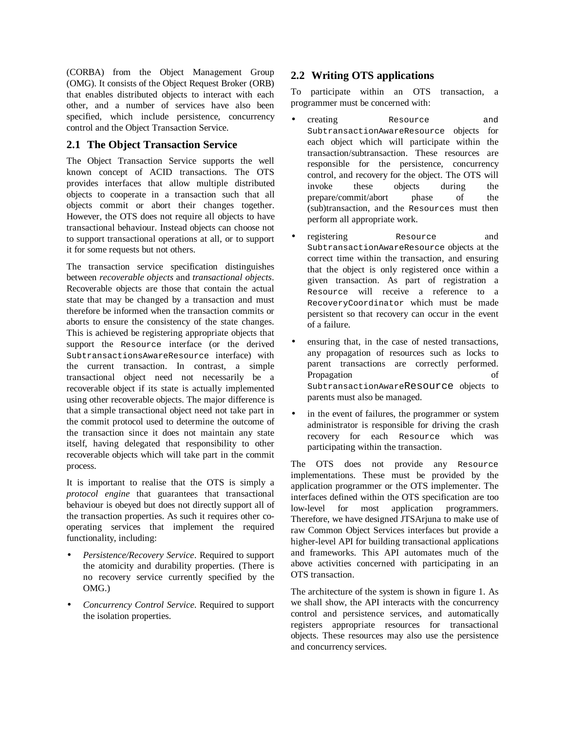(CORBA) from the Object Management Group (OMG). It consists of the Object Request Broker (ORB) that enables distributed objects to interact with each other, and a number of services have also been specified, which include persistence, concurrency control and the Object Transaction Service.

# **2.1 The Object Transaction Service**

The Object Transaction Service supports the well known concept of ACID transactions. The OTS provides interfaces that allow multiple distributed objects to cooperate in a transaction such that all objects commit or abort their changes together. However, the OTS does not require all objects to have transactional behaviour. Instead objects can choose not to support transactional operations at all, or to support it for some requests but not others.

The transaction service specification distinguishes between *recoverable objects* and *transactional objects*. Recoverable objects are those that contain the actual state that may be changed by a transaction and must therefore be informed when the transaction commits or aborts to ensure the consistency of the state changes. This is achieved be registering appropriate objects that support the Resource interface (or the derived SubtransactionsAwareResource interface) with the current transaction. In contrast, a simple transactional object need not necessarily be a recoverable object if its state is actually implemented using other recoverable objects. The major difference is that a simple transactional object need not take part in the commit protocol used to determine the outcome of the transaction since it does not maintain any state itself, having delegated that responsibility to other recoverable objects which will take part in the commit process.

It is important to realise that the OTS is simply a *protocol engine* that guarantees that transactional behaviour is obeyed but does not directly support all of the transaction properties. As such it requires other cooperating services that implement the required functionality, including:

- *Persistence/Recovery Service*. Required to support the atomicity and durability properties. (There is no recovery service currently specified by the OMG.)
- *Concurrency Control Service*. Required to support the isolation properties.

# **2.2 Writing OTS applications**

To participate within an OTS transaction, a programmer must be concerned with:

- creating Resource and SubtransactionAwareResource objects for each object which will participate within the transaction/subtransaction. These resources are responsible for the persistence, concurrency control, and recovery for the object. The OTS will invoke these objects during the prepare/commit/abort phase of the (sub)transaction, and the Resources must then perform all appropriate work.
- registering Resource and SubtransactionAwareResource objects at the correct time within the transaction, and ensuring that the object is only registered once within a given transaction. As part of registration a Resource will receive a reference to a RecoveryCoordinator which must be made persistent so that recovery can occur in the event of a failure.
- ensuring that, in the case of nested transactions, any propagation of resources such as locks to parent transactions are correctly performed. Propagation of SubtransactionAwareResource objects to parents must also be managed.
- in the event of failures, the programmer or system administrator is responsible for driving the crash recovery for each Resource which was participating within the transaction.

The OTS does not provide any Resource implementations. These must be provided by the application programmer or the OTS implementer. The interfaces defined within the OTS specification are too low-level for most application programmers. Therefore, we have designed JTSArjuna to make use of raw Common Object Services interfaces but provide a higher-level API for building transactional applications and frameworks. This API automates much of the above activities concerned with participating in an OTS transaction.

The architecture of the system is shown in figure 1. As we shall show, the API interacts with the concurrency control and persistence services, and automatically registers appropriate resources for transactional objects. These resources may also use the persistence and concurrency services.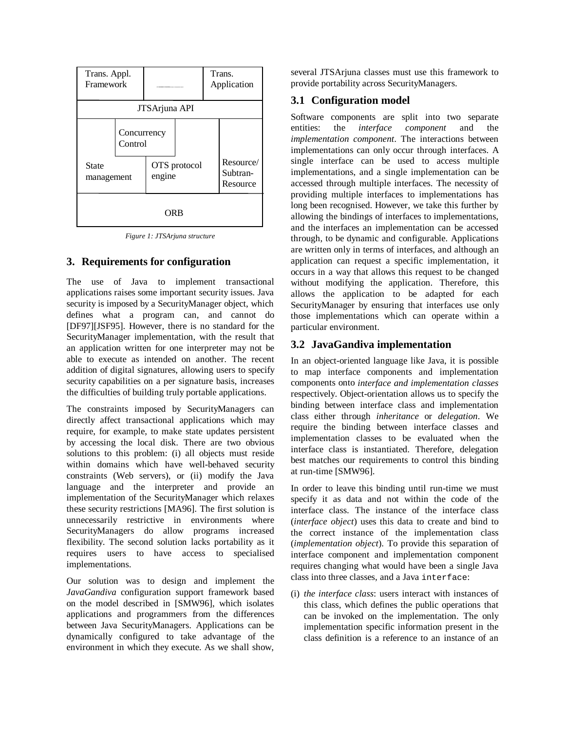

*Figure 1: JTSArjuna structure*

# **3. Requirements for configuration**

The use of Java to implement transactional applications raises some important security issues. Java security is imposed by a SecurityManager object, which defines what a program can, and cannot do [DF97][JSF95]. However, there is no standard for the SecurityManager implementation, with the result that an application written for one interpreter may not be able to execute as intended on another. The recent addition of digital signatures, allowing users to specify security capabilities on a per signature basis, increases the difficulties of building truly portable applications.

The constraints imposed by SecurityManagers can directly affect transactional applications which may require, for example, to make state updates persistent by accessing the local disk. There are two obvious solutions to this problem: (i) all objects must reside within domains which have well-behaved security constraints (Web servers), or (ii) modify the Java language and the interpreter and provide an implementation of the SecurityManager which relaxes these security restrictions [MA96]. The first solution is unnecessarily restrictive in environments where SecurityManagers do allow programs increased flexibility. The second solution lacks portability as it requires users to have access to specialised implementations.

Our solution was to design and implement the *JavaGandiva* configuration support framework based on the model described in [SMW96], which isolates applications and programmers from the differences between Java SecurityManagers. Applications can be dynamically configured to take advantage of the environment in which they execute. As we shall show,

several JTSArjuna classes must use this framework to provide portability across SecurityManagers.

### **3.1 Configuration model**

Software components are split into two separate entities: the *interface component* and the *implementation component*. The interactions between implementations can only occur through interfaces. A single interface can be used to access multiple implementations, and a single implementation can be accessed through multiple interfaces. The necessity of providing multiple interfaces to implementations has long been recognised. However, we take this further by allowing the bindings of interfaces to implementations, and the interfaces an implementation can be accessed through, to be dynamic and configurable. Applications are written only in terms of interfaces, and although an application can request a specific implementation, it occurs in a way that allows this request to be changed without modifying the application. Therefore, this allows the application to be adapted for each SecurityManager by ensuring that interfaces use only those implementations which can operate within a particular environment.

# **3.2 JavaGandiva implementation**

In an object-oriented language like Java, it is possible to map interface components and implementation components onto *interface and implementation classes* respectively. Object-orientation allows us to specify the binding between interface class and implementation class either through *inheritance* or *delegation*. We require the binding between interface classes and implementation classes to be evaluated when the interface class is instantiated. Therefore, delegation best matches our requirements to control this binding at run-time [SMW96].

In order to leave this binding until run-time we must specify it as data and not within the code of the interface class. The instance of the interface class (*interface object*) uses this data to create and bind to the correct instance of the implementation class (*implementation object*). To provide this separation of interface component and implementation component requires changing what would have been a single Java class into three classes, and a Java interface:

(i) *the interface class*: users interact with instances of this class, which defines the public operations that can be invoked on the implementation. The only implementation specific information present in the class definition is a reference to an instance of an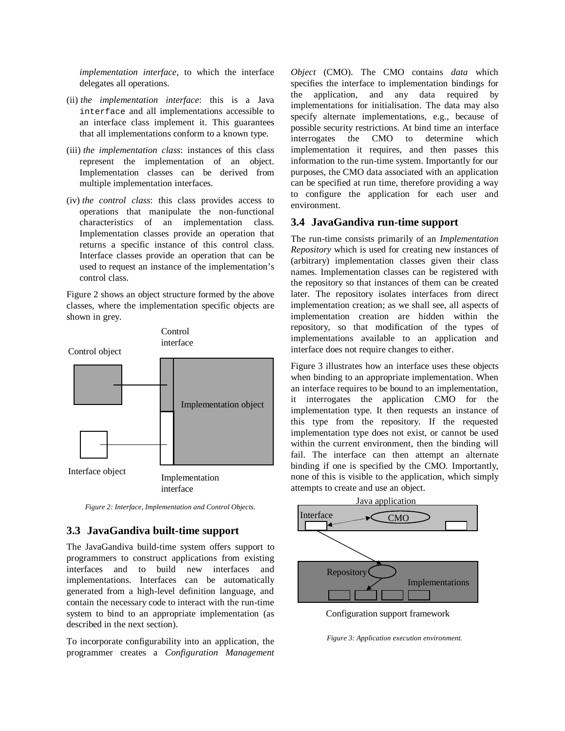*implementation interface*, to which the interface delegates all operations.

- (ii) *the implementation interface*: this is a Java interface and all implementations accessible to an interface class implement it. This guarantees that all implementations conform to a known type.
- (iii) *the implementation class*: instances of this class represent the implementation of an object. Implementation classes can be derived from multiple implementation interfaces.
- (iv) *the control class*: this class provides access to operations that manipulate the non-functional characteristics of an implementation class. Implementation classes provide an operation that returns a specific instance of this control class. Interface classes provide an operation that can be used to request an instance of the implementation's control class.

Figure 2 shows an object structure formed by the above classes, where the implementation specific objects are shown in grey.



*Figure 2: Interface, Implementation and Control Objects.*

#### **3.3 JavaGandiva built-time support**

The JavaGandiva build-time system offers support to programmers to construct applications from existing interfaces and to build new interfaces and implementations. Interfaces can be automatically generated from a high-level definition language, and contain the necessary code to interact with the run-time system to bind to an appropriate implementation (as described in the next section).

To incorporate configurability into an application, the programmer creates a *Configuration Management*

*Object* (CMO). The CMO contains *data* which specifies the interface to implementation bindings for the application, and any data required by implementations for initialisation. The data may also specify alternate implementations, e.g., because of possible security restrictions. At bind time an interface interrogates the CMO to determine which implementation it requires, and then passes this information to the run-time system. Importantly for our purposes, the CMO data associated with an application can be specified at run time, therefore providing a way to configure the application for each user and environment.

#### **3.4 JavaGandiva run-time support**

The run-time consists primarily of an *Implementation Repository* which is used for creating new instances of (arbitrary) implementation classes given their class names. Implementation classes can be registered with the repository so that instances of them can be created later. The repository isolates interfaces from direct implementation creation; as we shall see, all aspects of implementation creation are hidden within the repository, so that modification of the types of implementations available to an application and interface does not require changes to either.

Figure 3 illustrates how an interface uses these objects when binding to an appropriate implementation. When an interface requires to be bound to an implementation, it interrogates the application CMO for the implementation type. It then requests an instance of this type from the repository. If the requested implementation type does not exist, or cannot be used within the current environment, then the binding will fail. The interface can then attempt an alternate binding if one is specified by the CMO. Importantly, none of this is visible to the application, which simply attempts to create and use an object.



Configuration support framework

*Figure 3: Application execution environment.*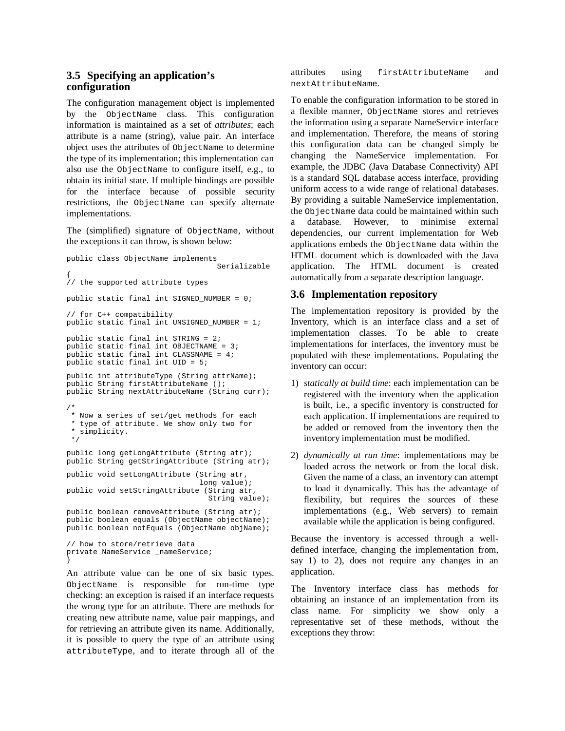#### **3.5 Specifying an application's configuration**

The configuration management object is implemented by the ObjectName class. This configuration information is maintained as a set of *attributes*; each attribute is a name (string), value pair. An interface object uses the attributes of ObjectName to determine the type of its implementation; this implementation can also use the ObjectName to configure itself, e.g., to obtain its initial state. If multiple bindings are possible for the interface because of possible security restrictions, the ObjectName can specify alternate implementations.

The (simplified) signature of ObjectName, without the exceptions it can throw, is shown below:

```
public class ObjectName implements
                                   Serializable
{
// the supported attribute types
public static final int SIGNED_NUMBER = 0;
// for C++ compatibility
public static final int UNSIGNED_NUMBER = 1;
public static final int STRING = 2;
public static final int OBJECTNAME = 3;
public static final int CLASSNAME = 4;
public static final int UID = 5;
public int attributeType (String attrName);
public String firstAttributeName ();
public String nextAttributeName (String curr);
/*
 * Now a series of set/get methods for each
  * type of attribute. We show only two for
  * simplicity.
  */
public long getLongAttribute (String atr);
public String getStringAttribute (String atr);
public void setLongAttribute (String atr,
                               long value);
public void setStringAttribute (String atr,
                                 String value);
public boolean removeAttribute (String atr);
public boolean equals (ObjectName objectName);
public boolean notEquals (ObjectName objName);
// how to store/retrieve data
private NameService _nameService;
}
```
An attribute value can be one of six basic types. ObjectName is responsible for run-time type checking: an exception is raised if an interface requests the wrong type for an attribute. There are methods for creating new attribute name, value pair mappings, and for retrieving an attribute given its name. Additionally, it is possible to query the type of an attribute using attributeType, and to iterate through all of the

attributes using firstAttributeName and nextAttributeName.

To enable the configuration information to be stored in a flexible manner, ObjectName stores and retrieves the information using a separate NameService interface and implementation. Therefore, the means of storing this configuration data can be changed simply be changing the NameService implementation. For example, the JDBC (Java Database Connectivity) API is a standard SQL database access interface, providing uniform access to a wide range of relational databases. By providing a suitable NameService implementation, the ObjectName data could be maintained within such a database. However, to minimise external dependencies, our current implementation for Web applications embeds the ObjectName data within the HTML document which is downloaded with the Java application. The HTML document is created automatically from a separate description language.

## **3.6 Implementation repository**

The implementation repository is provided by the Inventory, which is an interface class and a set of implementation classes. To be able to create implementations for interfaces, the inventory must be populated with these implementations. Populating the inventory can occur:

- 1) *statically at build time*: each implementation can be registered with the inventory when the application is built, i.e., a specific inventory is constructed for each application. If implementations are required to be added or removed from the inventory then the inventory implementation must be modified.
- 2) *dynamically at run time*: implementations may be loaded across the network or from the local disk. Given the name of a class, an inventory can attempt to load it dynamically. This has the advantage of flexibility, but requires the sources of these implementations (e.g., Web servers) to remain available while the application is being configured.

Because the inventory is accessed through a welldefined interface, changing the implementation from, say 1) to 2), does not require any changes in an application.

The Inventory interface class has methods for obtaining an instance of an implementation from its class name. For simplicity we show only a representative set of these methods, without the exceptions they throw: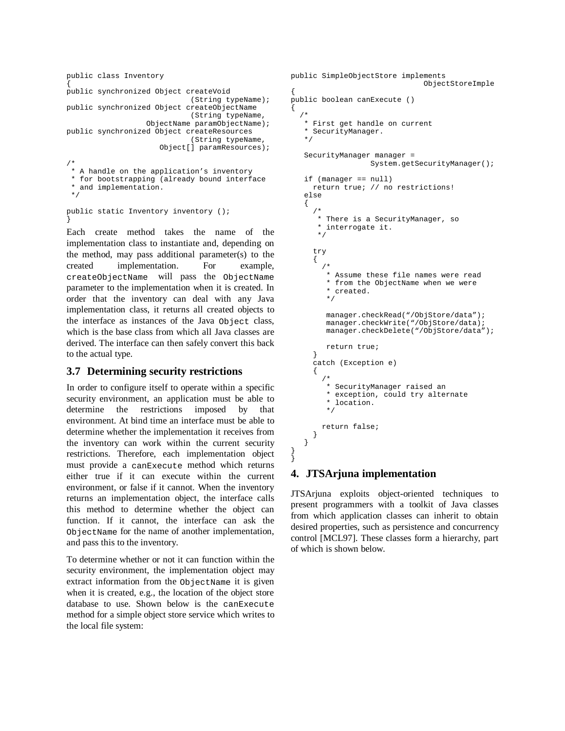```
public class Inventory
{
public synchronized Object createVoid
                              (String typeName);
public synchronized Object createObjectName
                              (String typeName,
                   ObjectName paramObjectName);
public synchronized Object createResources
                              (String typeName,
                       Object[] paramResources);
/*
 * A handle on the application's inventory
  * for bootstrapping (already bound interface
  * and implementation.
 */
public static Inventory inventory ();
}
```
Each create method takes the name of the implementation class to instantiate and, depending on the method, may pass additional parameter(s) to the created implementation. For example, createObjectName will pass the ObjectName parameter to the implementation when it is created. In order that the inventory can deal with any Java implementation class, it returns all created objects to the interface as instances of the Java Object class, which is the base class from which all Java classes are derived. The interface can then safely convert this back to the actual type.

### **3.7 Determining security restrictions**

In order to configure itself to operate within a specific security environment, an application must be able to determine the restrictions imposed by that environment. At bind time an interface must be able to determine whether the implementation it receives from the inventory can work within the current security restrictions. Therefore, each implementation object must provide a canExecute method which returns either true if it can execute within the current environment, or false if it cannot. When the inventory returns an implementation object, the interface calls this method to determine whether the object can function. If it cannot, the interface can ask the ObjectName for the name of another implementation, and pass this to the inventory.

To determine whether or not it can function within the security environment, the implementation object may extract information from the ObjectName it is given when it is created, e.g., the location of the object store database to use. Shown below is the canExecute method for a simple object store service which writes to the local file system:

```
public SimpleObjectStore implements
                                            ObjectStoreImple
{
public boolean canExecute ()
{
    /*
     * First get handle on current
     * SecurityManager.
     */
     SecurityManager manager =
                          System.getSecurityManager();
     if (manager == null)
        return true; // no restrictions!
     else
\{ \cdot \cdot \cdot \cdot \cdot \cdot \cdot \cdot \cdot \cdot \cdot \cdot \cdot \cdot \cdot \cdot \cdot \cdot \cdot \cdot \cdot \cdot \cdot \cdot \cdot \cdot \cdot \cdot \cdot \cdot \cdot \cdot \cdot \cdot \cdot \cdot 
        /*
         * There is a SecurityManager, so
         * interrogate it.
         */
        try
        {
           /*
            * Assume these file names were read
            * from the ObjectName when we were
             * created.
            */
            manager.checkRead("/ObjStore/data");
            manager.checkWrite("/ObjStore/data);
            manager.checkDelete("/ObjStore/data");
            return true;
 }
        catch (Exception e)
        {
           /*
            * SecurityManager raised an
             exception, could try alternate
            * location.
            */
          return false;
        }
     }
}
}
```
# **4. JTSArjuna implementation**

JTSArjuna exploits object-oriented techniques to present programmers with a toolkit of Java classes from which application classes can inherit to obtain desired properties, such as persistence and concurrency control [MCL97]. These classes form a hierarchy, part of which is shown below.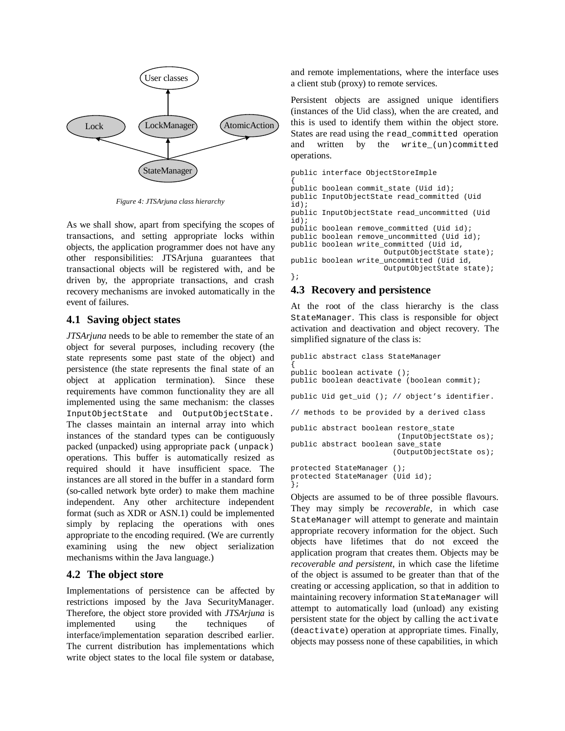

*Figure 4: JTSArjuna class hierarchy*

As we shall show, apart from specifying the scopes of transactions, and setting appropriate locks within objects, the application programmer does not have any other responsibilities: JTSArjuna guarantees that transactional objects will be registered with, and be driven by, the appropriate transactions, and crash recovery mechanisms are invoked automatically in the event of failures.

#### **4.1 Saving object states**

*JTSArjuna* needs to be able to remember the state of an object for several purposes, including recovery (the state represents some past state of the object) and persistence (the state represents the final state of an object at application termination). Since these requirements have common functionality they are all implemented using the same mechanism: the classes InputObjectState and OutputObjectState. The classes maintain an internal array into which instances of the standard types can be contiguously packed (unpacked) using appropriate pack (unpack) operations. This buffer is automatically resized as required should it have insufficient space. The instances are all stored in the buffer in a standard form (so-called network byte order) to make them machine independent. Any other architecture independent format (such as XDR or ASN.1) could be implemented simply by replacing the operations with ones appropriate to the encoding required. (We are currently examining using the new object serialization mechanisms within the Java language.)

#### **4.2 The object store**

Implementations of persistence can be affected by restrictions imposed by the Java SecurityManager. Therefore, the object store provided with *JTSArjuna* is implemented using the techniques of interface/implementation separation described earlier. The current distribution has implementations which write object states to the local file system or database,

and remote implementations, where the interface uses a client stub (proxy) to remote services.

Persistent objects are assigned unique identifiers (instances of the Uid class), when the are created, and this is used to identify them within the object store. States are read using the read\_committed operation and written by the write\_(un)committed operations.

```
public interface ObjectStoreImple
```

```
{
public boolean commit_state (Uid id);
public InputObjectState read_committed (Uid
id);
public InputObjectState read_uncommitted (Uid
id);
public boolean remove_committed (Uid id);
public boolean remove_uncommitted (Uid id);
public boolean write_committed (Uid id,
                      OutputObjectState state);
public boolean write_uncommitted (Uid id,
                      OutputObjectState state);
};
```
# **4.3 Recovery and persistence**

At the root of the class hierarchy is the class StateManager. This class is responsible for object activation and deactivation and object recovery. The simplified signature of the class is:

```
public abstract class StateManager
{
public boolean activate ();
public boolean deactivate (boolean commit);
public Uid get_uid (); // object's identifier.
// methods to be provided by a derived class
public abstract boolean restore_state
                         (InputObjectState os);
public abstract boolean save_state
                        (OutputObjectState os);
protected StateManager ();
protected StateManager (Uid id);
};
```
Objects are assumed to be of three possible flavours. They may simply be *recoverable*, in which case StateManager will attempt to generate and maintain appropriate recovery information for the object. Such objects have lifetimes that do not exceed the application program that creates them. Objects may be *recoverable and persistent*, in which case the lifetime of the object is assumed to be greater than that of the creating or accessing application, so that in addition to maintaining recovery information StateManager will attempt to automatically load (unload) any existing persistent state for the object by calling the activate (deactivate) operation at appropriate times. Finally, objects may possess none of these capabilities, in which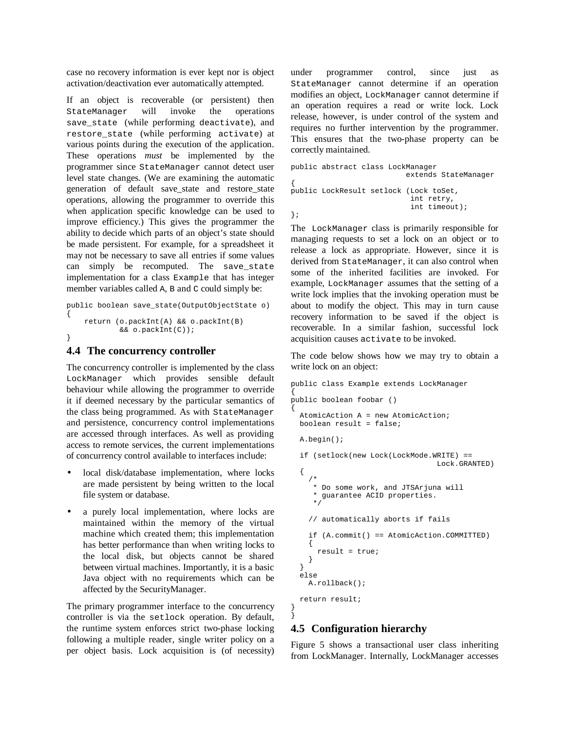case no recovery information is ever kept nor is object activation/deactivation ever automatically attempted.

If an object is recoverable (or persistent) then StateManager will invoke the operations save\_state (while performing deactivate), and restore\_state (while performing activate) at various points during the execution of the application. These operations *must* be implemented by the programmer since StateManager cannot detect user level state changes. (We are examining the automatic generation of default save\_state and restore\_state operations, allowing the programmer to override this when application specific knowledge can be used to improve efficiency.) This gives the programmer the ability to decide which parts of an object's state should be made persistent. For example, for a spreadsheet it may not be necessary to save all entries if some values can simply be recomputed. The save\_state implementation for a class Example that has integer member variables called A, B and C could simply be:

```
public boolean save_state(OutputObjectState o)
{
     return (o.packInt(A) && o.packInt(B)
             && o.packInt(C));
}
```
#### **4.4 The concurrency controller**

The concurrency controller is implemented by the class LockManager which provides sensible default behaviour while allowing the programmer to override it if deemed necessary by the particular semantics of the class being programmed. As with StateManager and persistence, concurrency control implementations are accessed through interfaces. As well as providing access to remote services, the current implementations of concurrency control available to interfaces include:

- local disk/database implementation, where locks are made persistent by being written to the local file system or database.
- a purely local implementation, where locks are maintained within the memory of the virtual machine which created them; this implementation has better performance than when writing locks to the local disk, but objects cannot be shared between virtual machines. Importantly, it is a basic Java object with no requirements which can be affected by the SecurityManager.

The primary programmer interface to the concurrency controller is via the setlock operation. By default, the runtime system enforces strict two-phase locking following a multiple reader, single writer policy on a per object basis. Lock acquisition is (of necessity)

under programmer control, since just as StateManager cannot determine if an operation modifies an object, LockManager cannot determine if an operation requires a read or write lock. Lock release, however, is under control of the system and requires no further intervention by the programmer. This ensures that the two-phase property can be correctly maintained.

```
public abstract class LockManager
                            extends StateManager
{
public LockResult setlock (Lock toSet,
                              int retry,
                              int timeout);
};
```
The LockManager class is primarily responsible for managing requests to set a lock on an object or to release a lock as appropriate. However, since it is derived from StateManager, it can also control when some of the inherited facilities are invoked. For example, LockManager assumes that the setting of a write lock implies that the invoking operation must be about to modify the object. This may in turn cause recovery information to be saved if the object is recoverable. In a similar fashion, successful lock acquisition causes activate to be invoked.

The code below shows how we may try to obtain a write lock on an object:

```
public class Example extends LockManager
{
public boolean foobar ()
{
   AtomicAction A = new AtomicAction;
   boolean result = false;
   A.begin();
   if (setlock(new Lock(LockMode.WRITE) ==
                                    Lock.GRANTED)
   {
     /*
      * Do some work, and JTSArjuna will
      * guarantee ACID properties.
 */
     // automatically aborts if fails
     if (A.commit() == AtomicAction.COMMITTED)
     {
      result = true; }
 }
   else
     A.rollback();
   return result;
}
```
#### **4.5 Configuration hierarchy**

}

Figure 5 shows a transactional user class inheriting from LockManager. Internally, LockManager accesses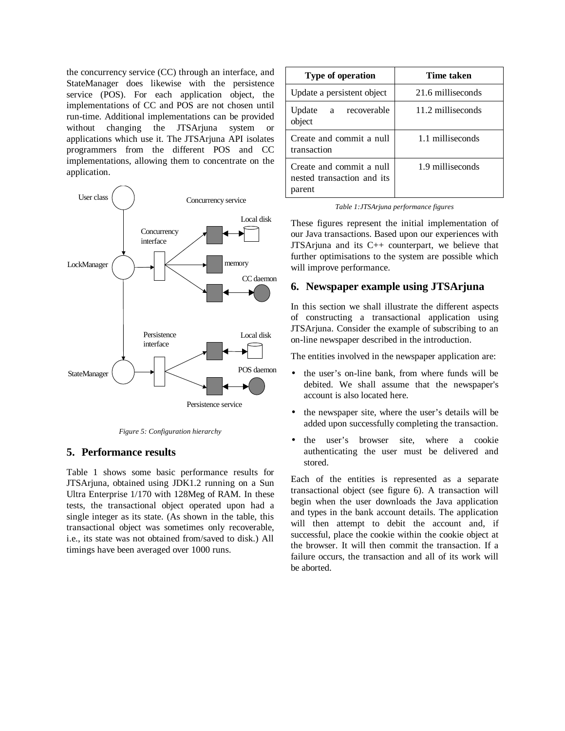the concurrency service (CC) through an interface, and StateManager does likewise with the persistence service (POS). For each application object, the implementations of CC and POS are not chosen until run-time. Additional implementations can be provided without changing the JTSArjuna system or applications which use it. The JTSArjuna API isolates programmers from the different POS and CC implementations, allowing them to concentrate on the application.



*Figure 5: Configuration hierarchy*

#### **5. Performance results**

Table 1 shows some basic performance results for JTSArjuna, obtained using JDK1.2 running on a Sun Ultra Enterprise 1/170 with 128Meg of RAM. In these tests, the transactional object operated upon had a single integer as its state. (As shown in the table, this transactional object was sometimes only recoverable, i.e., its state was not obtained from/saved to disk.) All timings have been averaged over 1000 runs.

| <b>Type of operation</b>                                         | Time taken        |  |
|------------------------------------------------------------------|-------------------|--|
| Update a persistent object                                       | 21.6 milliseconds |  |
| Update a recoverable<br>object                                   | 11.2 milliseconds |  |
| Create and commit a null<br>transaction                          | 1.1 milliseconds  |  |
| Create and commit a null<br>nested transaction and its<br>parent | 1.9 milliseconds  |  |

|  | Table 1:JTSArjuna performance figures |  |  |
|--|---------------------------------------|--|--|
|--|---------------------------------------|--|--|

These figures represent the initial implementation of our Java transactions. Based upon our experiences with JTSArjuna and its C++ counterpart, we believe that further optimisations to the system are possible which will improve performance.

#### **6. Newspaper example using JTSArjuna**

In this section we shall illustrate the different aspects of constructing a transactional application using JTSArjuna. Consider the example of subscribing to an on-line newspaper described in the introduction.

The entities involved in the newspaper application are:

- the user's on-line bank, from where funds will be debited. We shall assume that the newspaper's account is also located here.
- the newspaper site, where the user's details will be added upon successfully completing the transaction.
- the user's browser site, where a cookie authenticating the user must be delivered and stored.

Each of the entities is represented as a separate transactional object (see figure 6). A transaction will begin when the user downloads the Java application and types in the bank account details. The application will then attempt to debit the account and, if successful, place the cookie within the cookie object at the browser. It will then commit the transaction. If a failure occurs, the transaction and all of its work will be aborted.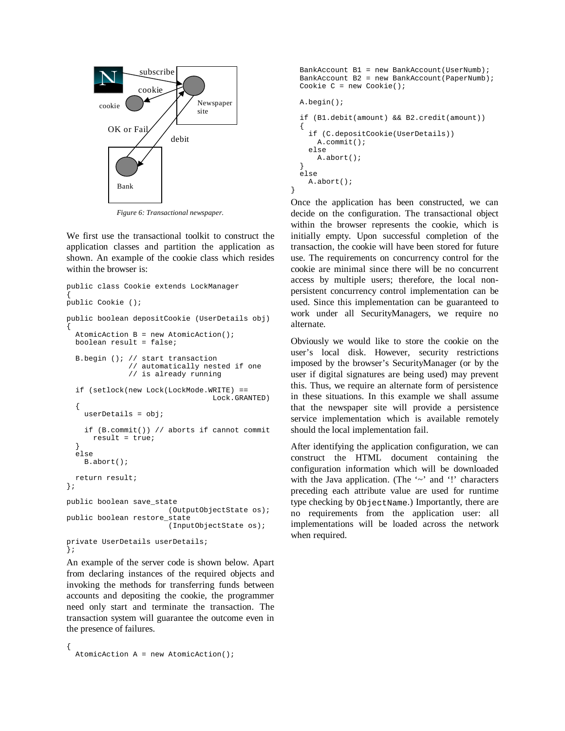

*Figure 6: Transactional newspaper.*

We first use the transactional toolkit to construct the application classes and partition the application as shown. An example of the cookie class which resides within the browser is:

```
public class Cookie extends LockManager
{
public Cookie ();
public boolean depositCookie (UserDetails obj)
{
   AtomicAction B = new AtomicAction();
  boolean result = false;
   B.begin (); // start transaction
                // automatically nested if one
               // is already running
   if (setlock(new Lock(LockMode.WRITE) ==
                                   Lock.GRANTED)
   {
    userDetails = obj if (B.commit()) // aborts if cannot commit
       result = true;
 }
   else
     B.abort();
  return result;
};
public boolean save_state
                         (OutputObjectState os);
public boolean restore_state
                         (InputObjectState os);
private UserDetails userDetails;
};
```
An example of the server code is shown below. Apart from declaring instances of the required objects and invoking the methods for transferring funds between accounts and depositing the cookie, the programmer need only start and terminate the transaction. The transaction system will guarantee the outcome even in the presence of failures.

{ AtomicAction A = new AtomicAction();

```
 BankAccount B1 = new BankAccount(UserNumb);
 BankAccount B2 = new BankAccount(PaperNumb);
 Cookie C = new Cookie();
```

```
 A.begin();
  if (B1.debit(amount) && B2.credit(amount))
 {
     if (C.depositCookie(UserDetails))
       A.commit();
     else
       A.abort();
 }
  else
     A.abort();
```
}

Once the application has been constructed, we can decide on the configuration. The transactional object within the browser represents the cookie, which is initially empty. Upon successful completion of the transaction, the cookie will have been stored for future use. The requirements on concurrency control for the cookie are minimal since there will be no concurrent access by multiple users; therefore, the local nonpersistent concurrency control implementation can be used. Since this implementation can be guaranteed to work under all SecurityManagers, we require no alternate.

Obviously we would like to store the cookie on the user's local disk. However, security restrictions imposed by the browser's SecurityManager (or by the user if digital signatures are being used) may prevent this. Thus, we require an alternate form of persistence in these situations. In this example we shall assume that the newspaper site will provide a persistence service implementation which is available remotely should the local implementation fail.

After identifying the application configuration, we can construct the HTML document containing the configuration information which will be downloaded with the Java application. (The  $\sim$  and  $\cdot$ ! characters preceding each attribute value are used for runtime type checking by ObjectName.) Importantly, there are no requirements from the application user: all implementations will be loaded across the network when required.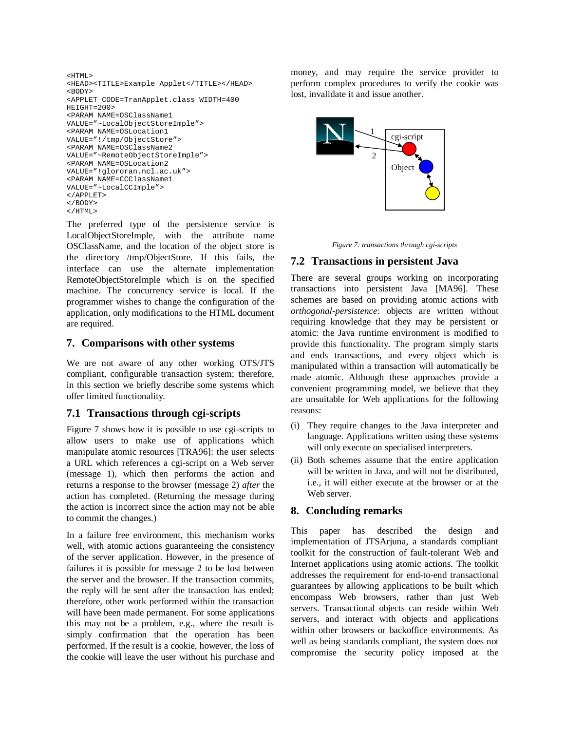```
<HTML>
<HEAD><TITLE>Example Applet</TITLE></HEAD>
<BODY>
<APPLET CODE=TranApplet.class WIDTH=400
HEIGHT=200>
<PARAM NAME=OSClassName1
VALUE="~LocalObjectStoreImple">
<PARAM NAME=OSLocation1
VALUE="!/tmp/ObjectStore">
<PARAM NAME=OSClassName2
VALUE="~RemoteObjectStoreImple">
<PARAM NAME=OSLocation2
VALUE="!glororan.ncl.ac.uk">
<PARAM NAME=CCClassName1
VALUE="~LocalCCImple">
</APPLET>
</BODY>
</HTML>
```
The preferred type of the persistence service is LocalObjectStoreImple, with the attribute name OSClassName, and the location of the object store is the directory /tmp/ObjectStore. If this fails, the interface can use the alternate implementation RemoteObjectStoreImple which is on the specified machine. The concurrency service is local. If the programmer wishes to change the configuration of the application, only modifications to the HTML document are required.

#### **7. Comparisons with other systems**

We are not aware of any other working OTS/JTS compliant, configurable transaction system; therefore, in this section we briefly describe some systems which offer limited functionality.

#### **7.1 Transactions through cgi-scripts**

Figure 7 shows how it is possible to use cgi-scripts to allow users to make use of applications which manipulate atomic resources [TRA96]: the user selects a URL which references a cgi-script on a Web server (message 1), which then performs the action and returns a response to the browser (message 2) *after* the action has completed. (Returning the message during the action is incorrect since the action may not be able to commit the changes.)

In a failure free environment, this mechanism works well, with atomic actions guaranteeing the consistency of the server application. However, in the presence of failures it is possible for message 2 to be lost between the server and the browser. If the transaction commits, the reply will be sent after the transaction has ended; therefore, other work performed within the transaction will have been made permanent. For some applications this may not be a problem, e.g., where the result is simply confirmation that the operation has been performed. If the result is a cookie, however, the loss of the cookie will leave the user without his purchase and money, and may require the service provider to perform complex procedures to verify the cookie was lost, invalidate it and issue another.



*Figure 7: transactions through cgi-scripts*

## **7.2 Transactions in persistent Java**

There are several groups working on incorporating transactions into persistent Java [MA96]. These schemes are based on providing atomic actions with *orthogonal-persistence*: objects are written without requiring knowledge that they may be persistent or atomic: the Java runtime environment is modified to provide this functionality. The program simply starts and ends transactions, and every object which is manipulated within a transaction will automatically be made atomic. Although these approaches provide a convenient programming model, we believe that they are unsuitable for Web applications for the following reasons:

- (i) They require changes to the Java interpreter and language. Applications written using these systems will only execute on specialised interpreters.
- (ii) Both schemes assume that the entire application will be written in Java, and will not be distributed, i.e., it will either execute at the browser or at the Web server.

#### **8. Concluding remarks**

This paper has described the design and implementation of JTSArjuna, a standards compliant toolkit for the construction of fault-tolerant Web and Internet applications using atomic actions. The toolkit addresses the requirement for end-to-end transactional guarantees by allowing applications to be built which encompass Web browsers, rather than just Web servers. Transactional objects can reside within Web servers, and interact with objects and applications within other browsers or backoffice environments. As well as being standards compliant, the system does not compromise the security policy imposed at the